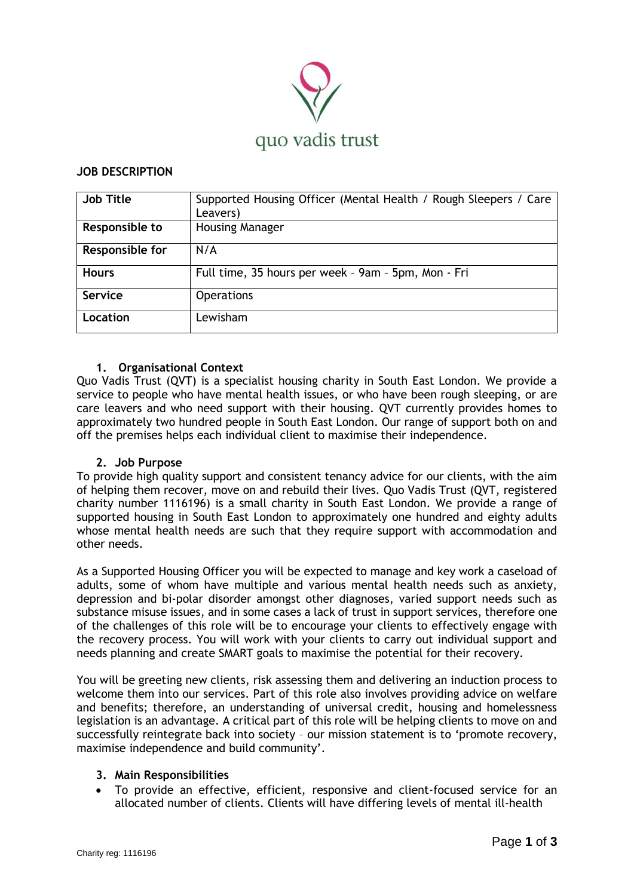

# **JOB DESCRIPTION**

| <b>Job Title</b> | Supported Housing Officer (Mental Health / Rough Sleepers / Care<br>Leavers) |
|------------------|------------------------------------------------------------------------------|
| Responsible to   | <b>Housing Manager</b>                                                       |
| Responsible for  | N/A                                                                          |
| <b>Hours</b>     | Full time, 35 hours per week - 9am - 5pm, Mon - Fri                          |
| <b>Service</b>   | <b>Operations</b>                                                            |
| Location         | Lewisham                                                                     |

### **1. Organisational Context**

Quo Vadis Trust (QVT) is a specialist housing charity in South East London. We provide a service to people who have mental health issues, or who have been rough sleeping, or are care leavers and who need support with their housing. QVT currently provides homes to approximately two hundred people in South East London. Our range of support both on and off the premises helps each individual client to maximise their independence.

#### **2. Job Purpose**

To provide high quality support and consistent tenancy advice for our clients, with the aim of helping them recover, move on and rebuild their lives. Quo Vadis Trust (QVT, registered charity number 1116196) is a small charity in South East London. We provide a range of supported housing in South East London to approximately one hundred and eighty adults whose mental health needs are such that they require support with accommodation and other needs.

As a Supported Housing Officer you will be expected to manage and key work a caseload of adults, some of whom have multiple and various mental health needs such as anxiety, depression and bi-polar disorder amongst other diagnoses, varied support needs such as substance misuse issues, and in some cases a lack of trust in support services, therefore one of the challenges of this role will be to encourage your clients to effectively engage with the recovery process. You will work with your clients to carry out individual support and needs planning and create SMART goals to maximise the potential for their recovery.

You will be greeting new clients, risk assessing them and delivering an induction process to welcome them into our services. Part of this role also involves providing advice on welfare and benefits; therefore, an understanding of universal credit, housing and homelessness legislation is an advantage. A critical part of this role will be helping clients to move on and successfully reintegrate back into society – our mission statement is to 'promote recovery, maximise independence and build community'.

## **3. Main Responsibilities**

To provide an effective, efficient, responsive and client-focused service for an allocated number of clients. Clients will have differing levels of mental ill-health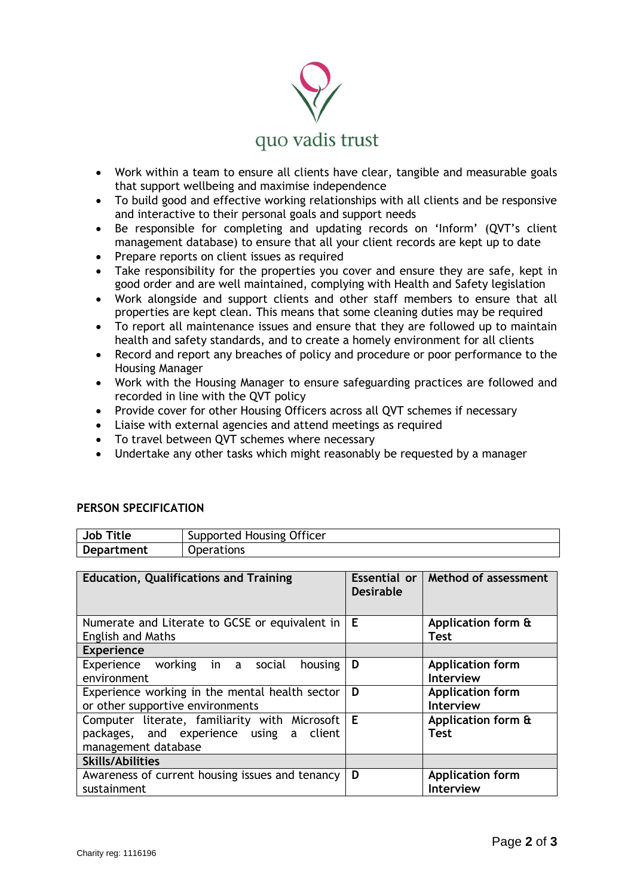

- Work within a team to ensure all clients have clear, tangible and measurable goals that support wellbeing and maximise independence
- To build good and effective working relationships with all clients and be responsive and interactive to their personal goals and support needs
- Be responsible for completing and updating records on 'Inform' (QVT's client management database) to ensure that all your client records are kept up to date
- Prepare reports on client issues as required
- Take responsibility for the properties you cover and ensure they are safe, kept in good order and are well maintained, complying with Health and Safety legislation
- Work alongside and support clients and other staff members to ensure that all properties are kept clean. This means that some cleaning duties may be required
- To report all maintenance issues and ensure that they are followed up to maintain health and safety standards, and to create a homely environment for all clients
- Record and report any breaches of policy and procedure or poor performance to the Housing Manager
- Work with the Housing Manager to ensure safeguarding practices are followed and recorded in line with the QVT policy
- Provide cover for other Housing Officers across all QVT schemes if necessary
- Liaise with external agencies and attend meetings as required
- To travel between QVT schemes where necessary

**Job Title** | Supported Housing Officer

• Undertake any other tasks which might reasonably be requested by a manager

| <b>Education, Qualifications and Training</b>                                                                   |                  | Essential or   Method of assessment         |
|-----------------------------------------------------------------------------------------------------------------|------------------|---------------------------------------------|
|                                                                                                                 | <b>Desirable</b> |                                             |
| Numerate and Literate to GCSE or equivalent in                                                                  | Е                | Application form &                          |
| <b>English and Maths</b>                                                                                        |                  | Test                                        |
| <b>Experience</b>                                                                                               |                  |                                             |
| Experience working in a social<br>housing<br>environment                                                        | D                | <b>Application form</b><br><b>Interview</b> |
| Experience working in the mental health sector<br>or other supportive environments                              | D                | <b>Application form</b><br><b>Interview</b> |
| Computer literate, familiarity with Microsoft<br>packages, and experience using a client<br>management database | Е                | Application form &<br><b>Test</b>           |
| <b>Skills/Abilities</b>                                                                                         |                  |                                             |
| Awareness of current housing issues and tenancy<br>sustainment                                                  | D                | <b>Application form</b><br><b>Interview</b> |

## **PERSON SPECIFICATION**

**Department** | Operations